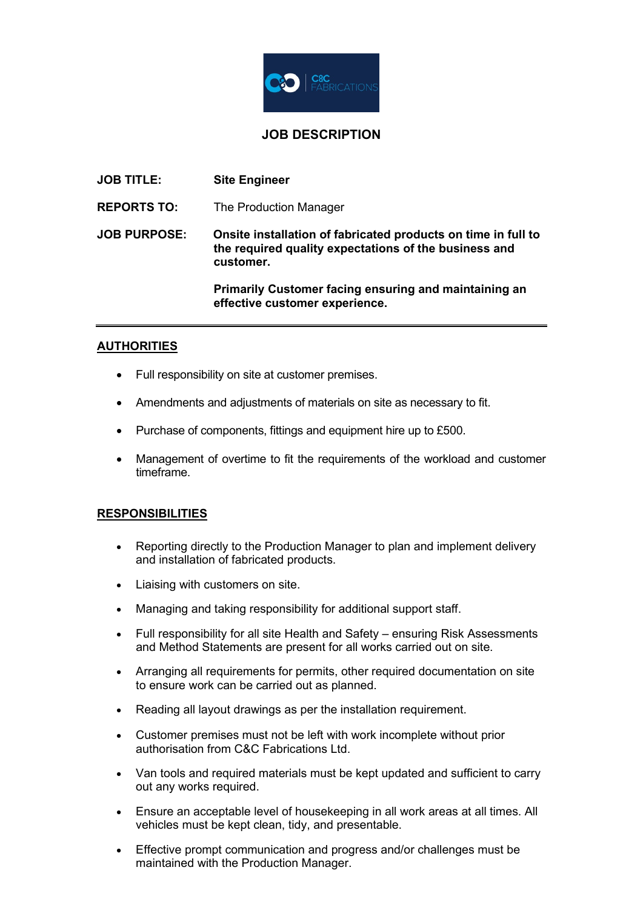

# **JOB DESCRIPTION**

| <b>JOB TITLE:</b>   | <b>Site Engineer</b>                                                                                                                |
|---------------------|-------------------------------------------------------------------------------------------------------------------------------------|
| <b>REPORTS TO:</b>  | The Production Manager                                                                                                              |
| <b>JOB PURPOSE:</b> | Onsite installation of fabricated products on time in full to<br>the required quality expectations of the business and<br>customer. |
|                     | <b>Primarily Customer facing ensuring and maintaining an</b><br>effective customer experience.                                      |

### **AUTHORITIES**

- Full responsibility on site at customer premises.
- Amendments and adjustments of materials on site as necessary to fit.
- Purchase of components, fittings and equipment hire up to £500.
- Management of overtime to fit the requirements of the workload and customer timeframe.

### **RESPONSIBILITIES**

- Reporting directly to the Production Manager to plan and implement delivery and installation of fabricated products.
- Liaising with customers on site.
- Managing and taking responsibility for additional support staff.
- Full responsibility for all site Health and Safety ensuring Risk Assessments and Method Statements are present for all works carried out on site.
- Arranging all requirements for permits, other required documentation on site to ensure work can be carried out as planned.
- Reading all layout drawings as per the installation requirement.
- Customer premises must not be left with work incomplete without prior authorisation from C&C Fabrications Ltd.
- Van tools and required materials must be kept updated and sufficient to carry out any works required.
- Ensure an acceptable level of housekeeping in all work areas at all times. All vehicles must be kept clean, tidy, and presentable.
- Effective prompt communication and progress and/or challenges must be maintained with the Production Manager.